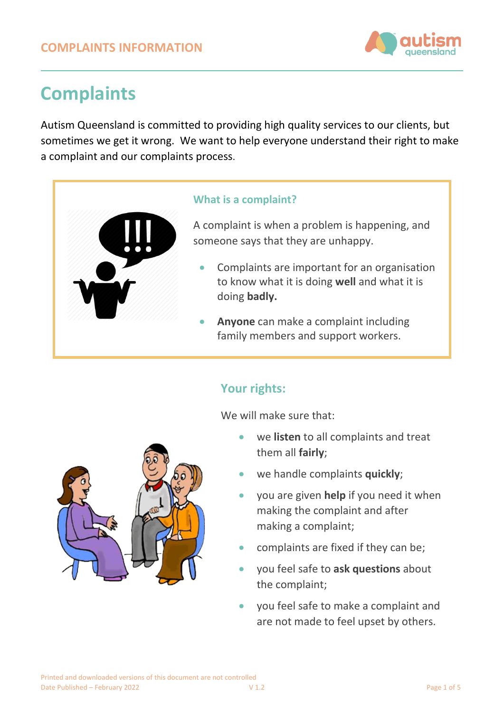

# **Complaints**

Autism Queensland is committed to providing high quality services to our clients, but sometimes we get it wrong. We want to help everyone understand their right to make a complaint and our complaints process.

#### **What is a complaint?**

A complaint is when a problem is happening, and someone says that they are unhappy.

- Complaints are important for an organisation to know what it is doing **well** and what it is doing **badly.**
- **Anyone** can make a complaint including family members and support workers.

## **Your rights:**

We will make sure that:

- we **listen** to all complaints and treat them all **fairly**;
- we handle complaints **quickly**;
- you are given **help** if you need it when making the complaint and after making a complaint;
- complaints are fixed if they can be;
- you feel safe to **ask questions** about the complaint;
- you feel safe to make a complaint and are not made to feel upset by others.

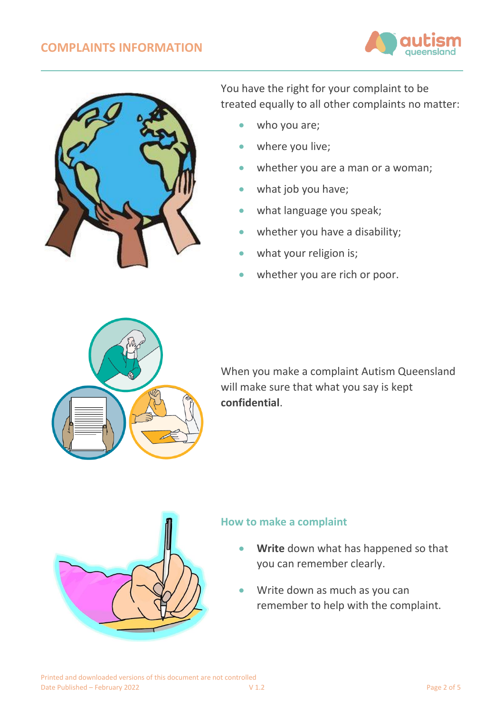## **COMPLAINTS INFORMATION**





You have the right for your complaint to be treated equally to all other complaints no matter:

- who you are;
- where you live;
- whether you are a man or a woman;
- what job you have;
- what language you speak;
- whether you have a disability;
- what your religion is;
- whether you are rich or poor.



When you make a complaint Autism Queensland will make sure that what you say is kept **confidential**.



## **How to make a complaint**

- **Write** down what has happened so that you can remember clearly.
- Write down as much as you can remember to help with the complaint.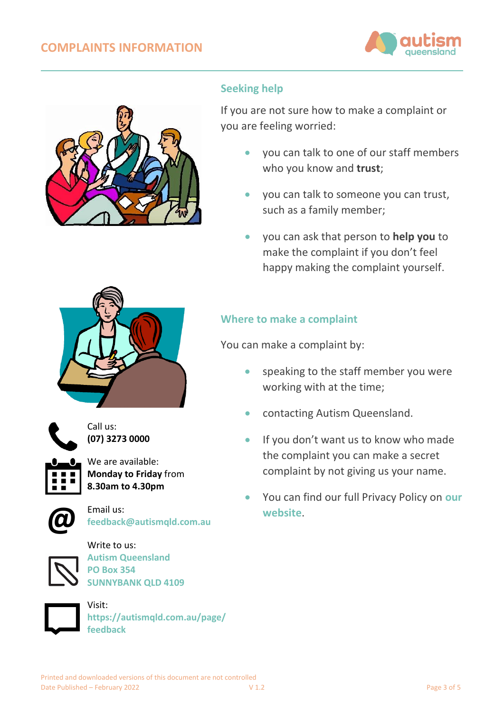



## **Seeking help**

If you are not sure how to make a complaint or you are feeling worried:

- you can talk to one of our staff members who you know and **trust**;
- you can talk to someone you can trust, such as a family member;
- you can ask that person to **help you** to make the complaint if you don't feel happy making the complaint yourself.





Call us: **(07) 3273 0000**

We are available: **Monday to Friday** from **8.30am to 4.30pm**



Email us: **[feedback@autismqld.com.au](mailto:feedback@autismqld.com.au)**



Write to us: **Autism Queensland PO Box 354 SUNNYBANK QLD 4109**



Visit: **[https://autismqld.com.au/page/](https://autismqld.com.au/page/feedback) [feedback](https://autismqld.com.au/page/feedback)**

## **Where to make a complaint**

You can make a complaint by:

- speaking to the staff member you were working with at the time;
- contacting Autism Queensland.
- If you don't want us to know who made the complaint you can make a secret complaint by not giving us your name.
- You can find our full Privacy Policy on **[our](https://autismqld.com.au/page/policies-procedures)  [website](https://autismqld.com.au/page/policies-procedures)**.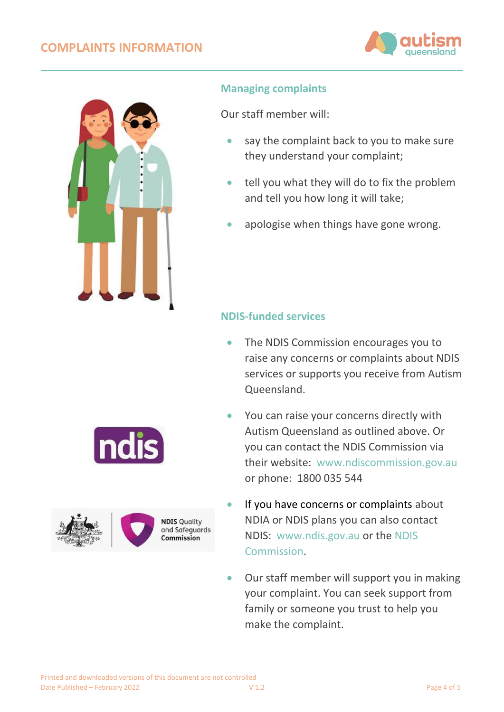## **COMPLAINTS INFORMATION**





### **Managing complaints**

Our staff member will:

- say the complaint back to you to make sure they understand your complaint;
- tell you what they will do to fix the problem and tell you how long it will take;
- apologise when things have gone wrong.

## **NDIS-funded services**

- The NDIS Commission encourages you to raise any concerns or complaints about NDIS services or supports you receive from Autism Queensland.
- You can raise your concerns directly with Autism Queensland as outlined above. Or you can contact the [NDIS Commission](https://www.ndiscommission.gov.au/about/complaints) via their website: [www.ndiscommission.gov.au](http://www.ndiscommission.gov.au/) or phone: 1800 035 544
- If you have concerns or complaints about NDIA or NDIS plans you can also contact NDIS: [www.ndis.gov.au](http://www.ndis.gov.au/) or the [NDIS](https://www.ndiscommission.gov.au/about/complaints)  [Commission.](https://www.ndiscommission.gov.au/about/complaints)
- Our staff member will support you in making your complaint. You can seek support from family or someone you trust to help you make the complaint.